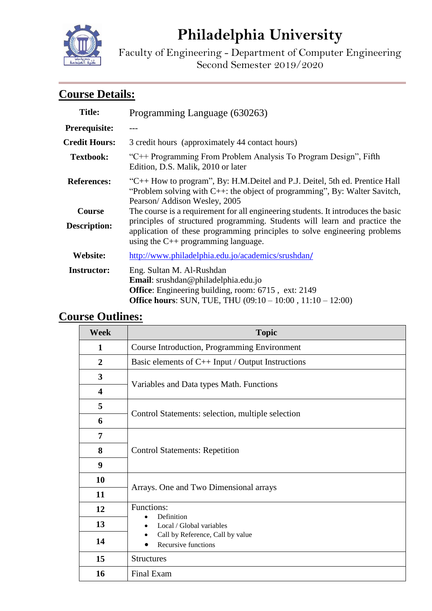

# **Philadelphia University**

Faculty of Engineering - Department of Computer Engineering Second Semester 2019/2020

# **Course Details:**

| <b>Title:</b>                        | Programming Language (630263)                                                                                                                                                                                                                |  |
|--------------------------------------|----------------------------------------------------------------------------------------------------------------------------------------------------------------------------------------------------------------------------------------------|--|
| <b>Prerequisite:</b>                 |                                                                                                                                                                                                                                              |  |
| <b>Credit Hours:</b>                 | 3 credit hours (approximately 44 contact hours)                                                                                                                                                                                              |  |
| <b>Textbook:</b>                     | "C++ Programming From Problem Analysis To Program Design", Fifth<br>Edition, D.S. Malik, 2010 or later                                                                                                                                       |  |
| <b>References:</b>                   | "C++ How to program", By: H.M.Deitel and P.J. Deitel, 5th ed. Prentice Hall<br>"Problem solving with $C++$ : the object of programming", By: Walter Savitch,<br>Pearson/Addison Wesley, 2005                                                 |  |
| <b>Course</b><br><b>Description:</b> | The course is a requirement for all engineering students. It introduces the basic<br>principles of structured programming. Students will learn and practice the<br>application of these programming principles to solve engineering problems |  |
|                                      | using the $C_{++}$ programming language.                                                                                                                                                                                                     |  |
| Website:                             | http://www.philadelphia.edu.jo/academics/srushdan/                                                                                                                                                                                           |  |
| <b>Instructor:</b>                   | Eng. Sultan M. Al-Rushdan<br>Email: srushdan@philadelphia.edu.jo<br>Office: Engineering building, room: 6715, ext: 2149<br><b>Office hours:</b> SUN, TUE, THU $(09:10 - 10:00, 11:10 - 12:00)$                                               |  |

## **Course Outlines:**

| <b>Week</b>             | <b>Topic</b>                                                                                      |  |
|-------------------------|---------------------------------------------------------------------------------------------------|--|
| $\mathbf{1}$            | Course Introduction, Programming Environment                                                      |  |
| $\overline{2}$          | Basic elements of C++ Input / Output Instructions                                                 |  |
| $\overline{\mathbf{3}}$ |                                                                                                   |  |
| 4                       | Variables and Data types Math. Functions                                                          |  |
| 5                       |                                                                                                   |  |
| 6                       | Control Statements: selection, multiple selection                                                 |  |
| 7                       |                                                                                                   |  |
| 8                       | <b>Control Statements: Repetition</b>                                                             |  |
| 9                       |                                                                                                   |  |
| 10                      |                                                                                                   |  |
| 11                      | Arrays. One and Two Dimensional arrays                                                            |  |
| 12                      | Functions:                                                                                        |  |
| 13                      | Definition<br>Local / Global variables<br>Call by Reference, Call by value<br>Recursive functions |  |
| 14                      |                                                                                                   |  |
| 15                      | <b>Structures</b>                                                                                 |  |
| 16                      | Final Exam                                                                                        |  |